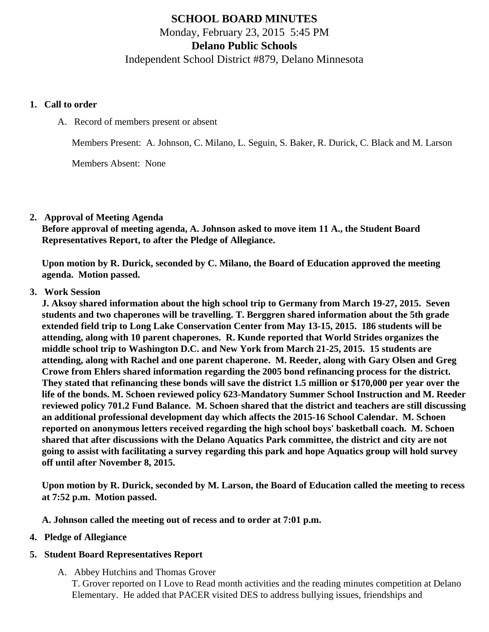# **SCHOOL BOARD MINUTES** Monday, February 23, 2015 5:45 PM **Delano Public Schools** Independent School District #879, Delano Minnesota

#### **1. Call to order**

A. Record of members present or absent

Members Present: A. Johnson, C. Milano, L. Seguin, S. Baker, R. Durick, C. Black and M. Larson

Members Absent: None

### **2. Approval of Meeting Agenda**

**Before approval of meeting agenda, A. Johnson asked to move item 11 A., the Student Board Representatives Report, to after the Pledge of Allegiance.**

**Upon motion by R. Durick, seconded by C. Milano, the Board of Education approved the meeting agenda. Motion passed.**

### **3. Work Session**

**J. Aksoy shared information about the high school trip to Germany from March 19-27, 2015. Seven students and two chaperones will be travelling. T. Berggren shared information about the 5th grade extended field trip to Long Lake Conservation Center from May 13-15, 2015. 186 students will be attending, along with 10 parent chaperones. R. Kunde reported that World Strides organizes the middle school trip to Washington D.C. and New York from March 21-25, 2015. 15 students are attending, along with Rachel and one parent chaperone. M. Reeder, along with Gary Olsen and Greg Crowe from Ehlers shared information regarding the 2005 bond refinancing process for the district. They stated that refinancing these bonds will save the district 1.5 million or \$170,000 per year over the life of the bonds. M. Schoen reviewed policy 623-Mandatory Summer School Instruction and M. Reeder reviewed policy 701.2 Fund Balance. M. Schoen shared that the district and teachers are still discussing an additional professional development day which affects the 2015-16 School Calendar. M. Schoen reported on anonymous letters received regarding the high school boys' basketball coach. M. Schoen shared that after discussions with the Delano Aquatics Park committee, the district and city are not going to assist with facilitating a survey regarding this park and hope Aquatics group will hold survey off until after November 8, 2015.**

**Upon motion by R. Durick, seconded by M. Larson, the Board of Education called the meeting to recess at 7:52 p.m. Motion passed.**

**A. Johnson called the meeting out of recess and to order at 7:01 p.m.**

### **4. Pledge of Allegiance**

### **5. Student Board Representatives Report**

A. Abbey Hutchins and Thomas Grover T. Grover reported on I Love to Read month activities and the reading minutes competition at Delano Elementary. He added that PACER visited DES to address bullying issues, friendships and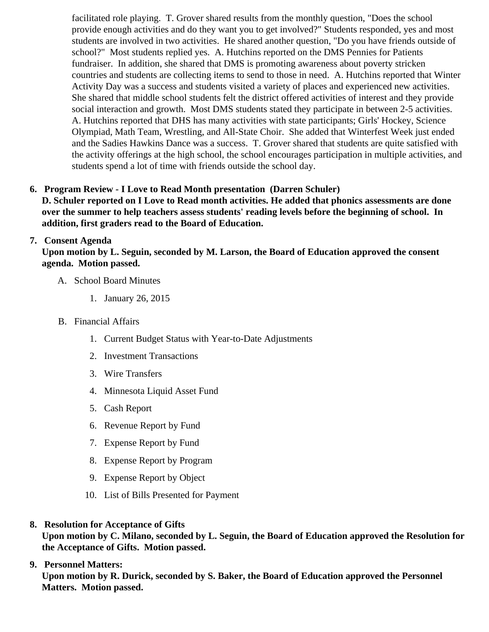facilitated role playing. T. Grover shared results from the monthly question, "Does the school provide enough activities and do they want you to get involved?" Students responded, yes and mo students are involved in two activities. He shared another question, "Do you have friends outside of school?" Most students replied yes. A. Hutchins reported on the DMS Pennies for Patients fundraiser. In addition, she shared that DMS is promoting awareness about poverty stricken countries and students are collecting items to send to those in need. A. Hutchins reported that Wir Activity Day was a success and students visited a variety of places and experienced new activities. She shared that middle school students felt the district offered activities of interest and they provide social interaction and growth. Most DMS students stated they participate in between 2-5 activities. A. Hutchins reported that DHS has many activities with state participants; Girls' Hockey, Science Olympiad, Math Team, Wrestling, and All-State Choir. She added that Winterfest Week just ended and the Sadies Hawkins Dance was a success. T. Grover shared that students are quite satisfied the activity offerings at the high school, the school encourages participation in multiple activities, and students spend a lot of time with friends outside the school day.

6. Program Review - I Love to Read Month presentation (Darren Schuler)

D. Schuler reported on I Love to Read month activities. He added that phonics assessments are done over the summer to help teachers assess students' reading levels before the beginning of school. In addition, first graders read to the Board of Education.

# 7. Consent Agenda

Upon motion by L. Seguin, seconded by M. Larson, the Board of Education approved the consent agenda. Motion passed.

# A. School Board Minutes

- 1. [January 26, 201](/docs/district/District_Forms/School_Board_Minutes_1.26.15.pdf )5
- B. Financial Affairs
	- 1. [Current Budget Status with Year-to-Date Adjustm](/docs/district/Business_Office/Budget_Report_Feb_15.pdf)ents
	- 2. [Investment Transactio](/docs/district/Business_Office/Investment_schedule_14-15.pdf  )ns
	- 3. [Wire Transfer](/docs/district/Business_Office/Wire_Transfer.pdf  )s
	- 4. [Minnesota Liquid Asset Fun](/docs/district/Business_Office/Liquid_Asset_Fund_FY15.pdf  )d
	- 5. [Cash Repo](/docs/district/Business_Office/Cash_Report.pdf  )rt
	- 6. [Revenue Report by Fu](/docs/district/Business_Office/SCHOOL_BOARD_REPORTS_-_REVENUE_BY_FUND_TOTAL__(Date__6_2015).pdf)nd
	- 7. [Expense Report by Fu](/docs/district/Business_Office/SCHOOL_BOARD_REPORTS_-_EXP_BY_FUND_TOTAL__(Date__6_2015).pdf)nd
	- 8. [Expense Report by Progra](/docs/district/Business_Office/SCHOOL_BOARD_REPORTS_-_EXPENDITURES_BY_PROGRAM__(Date__6_2015).pdf)m
	- 9. [Expense Report by Obje](/docs/district/Business_Office/SCHOOL_BOARD_REPORTS_-_EXPENDITURES_BY_OBJECT__(Date__6_2015).pdf)ct
	- 10. [List of Bills Presented for Payme](/docs/district/Business_Office/Monthly_Bills_Paid.pdf)nt
- 8. [Resolution for Acceptance of Gifts](/docs/district/Business_Office/Resolution_for_Acceptance_of_Gifts_2.23.15.pdf)

Upon motion by C. Milano, seconded by L. Seguin, the Board of Education approved the Resolution for the Acceptance of Gifts. Motion passed.

## 9. [Personnel Matters:](/httpd/108.61.242.74/www.delano.k12.mn.us/html/ /docs/district/HR/February_23,_2015_Personnel_Items.pdf)

Upon motion by R. Durick, seconded by S. Baker, the Board of Education approved the Personnel Matters. Motion passed.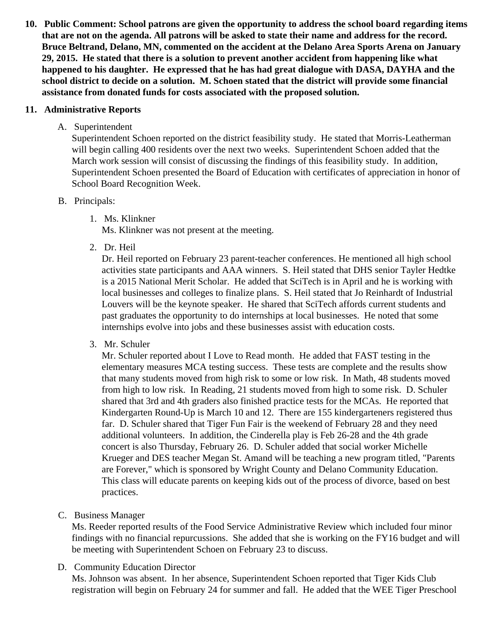**10. Public Comment: School patrons are given the opportunity to address the school board regarding items that are not on the agenda. All patrons will be asked to state their name and address for the record. Bruce Beltrand, Delano, MN, commented on the accident at the Delano Area Sports Arena on January 29, 2015. He stated that there is a solution to prevent another accident from happening like what happened to his daughter. He expressed that he has had great dialogue with DASA, DAYHA and the school district to decide on a solution. M. Schoen stated that the district will provide some financial assistance from donated funds for costs associated with the proposed solution.**

### **11. Administrative Reports**

A. Superintendent

Superintendent Schoen reported on the district feasibility study. He stated that Morris-Leatherman will begin calling 400 residents over the next two weeks. Superintendent Schoen added that the March work session will consist of discussing the findings of this feasibility study. In addition, Superintendent Schoen presented the Board of Education with certificates of appreciation in honor of School Board Recognition Week.

## B. Principals:

1. Ms. Klinkner

Ms. Klinkner was not present at the meeting.

2. Dr. Heil

Dr. Heil reported on February 23 parent-teacher conferences. He mentioned all high school activities state participants and AAA winners. S. Heil stated that DHS senior Tayler Hedtke is a 2015 National Merit Scholar. He added that SciTech is in April and he is working with local businesses and colleges to finalize plans. S. Heil stated that Jo Reinhardt of Industrial Louvers will be the keynote speaker. He shared that SciTech affords current students and past graduates the opportunity to do internships at local businesses. He noted that some internships evolve into jobs and these businesses assist with education costs.

3. Mr. Schuler

Mr. Schuler reported about I Love to Read month. He added that FAST testing in the elementary measures MCA testing success. These tests are complete and the results show that many students moved from high risk to some or low risk. In Math, 48 students moved from high to low risk. In Reading, 21 students moved from high to some risk. D. Schuler shared that 3rd and 4th graders also finished practice tests for the MCAs. He reported that Kindergarten Round-Up is March 10 and 12. There are 155 kindergarteners registered thus far. D. Schuler shared that Tiger Fun Fair is the weekend of February 28 and they need additional volunteers. In addition, the Cinderella play is Feb 26-28 and the 4th grade concert is also Thursday, February 26. D. Schuler added that social worker Michelle Krueger and DES teacher Megan St. Amand will be teaching a new program titled, "Parents are Forever," which is sponsored by Wright County and Delano Community Education. This class will educate parents on keeping kids out of the process of divorce, based on best practices.

C. Business Manager

Ms. Reeder reported results of the Food Service Administrative Review which included four minor findings with no financial repurcussions. She added that she is working on the FY16 budget and will be meeting with Superintendent Schoen on February 23 to discuss.

D. Community Education Director

Ms. Johnson was absent. In her absence, Superintendent Schoen reported that Tiger Kids Club registration will begin on February 24 for summer and fall. He added that the WEE Tiger Preschool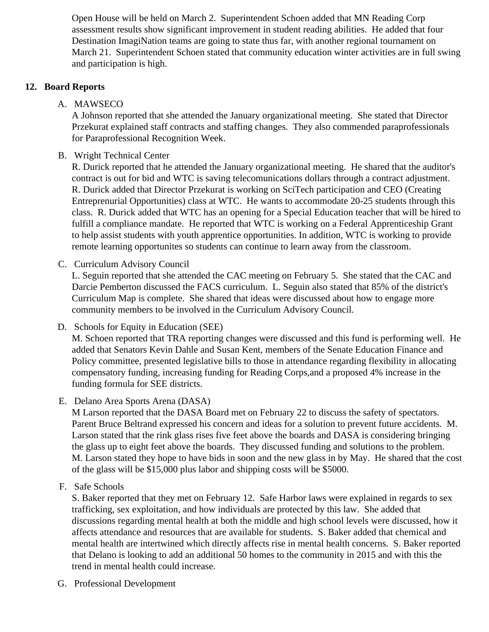Open House will be held on March 2. Superintendent Schoen added that MN Reading Corp assessment results show significant improvement in student reading abilities. He added that four Destination ImagiNation teams are going to state thus far, with another regional tournament on March 21. Superintendent Schoen stated that community education winter activities are in full swing and participation is high.

## **12. Board Reports**

A. MAWSECO

A Johnson reported that she attended the January organizational meeting. She stated that Director Przekurat explained staff contracts and staffing changes. They also commended paraprofessionals for Paraprofessional Recognition Week.

B. Wright Technical Center

R. Durick reported that he attended the January organizational meeting. He shared that the auditor's contract is out for bid and WTC is saving telecomunications dollars through a contract adjustment. R. Durick added that Director Przekurat is working on SciTech participation and CEO (Creating Entreprenurial Opportunities) class at WTC. He wants to accommodate 20-25 students through this class. R. Durick added that WTC has an opening for a Special Education teacher that will be hired to fulfill a compliance mandate. He reported that WTC is working on a Federal Apprenticeship Grant to help assist students with youth apprentice opportunities. In addition, WTC is working to provide remote learning opportunites so students can continue to learn away from the classroom.

C. Curriculum Advisory Council

L. Seguin reported that she attended the CAC meeting on February 5. She stated that the CAC and Darcie Pemberton discussed the FACS curriculum. L. Seguin also stated that 85% of the district's Curriculum Map is complete. She shared that ideas were discussed about how to engage more community members to be involved in the Curriculum Advisory Council.

D. Schools for Equity in Education (SEE)

M. Schoen reported that TRA reporting changes were discussed and this fund is performing well. He added that Senators Kevin Dahle and Susan Kent, members of the Senate Education Finance and Policy committee, presented legislative bills to those in attendance regarding flexibility in allocating compensatory funding, increasing funding for Reading Corps,and a proposed 4% increase in the funding formula for SEE districts.

E. Delano Area Sports Arena (DASA)

M Larson reported that the DASA Board met on February 22 to discuss the safety of spectators. Parent Bruce Beltrand expressed his concern and ideas for a solution to prevent future accidents. M. Larson stated that the rink glass rises five feet above the boards and DASA is considering bringing the glass up to eight feet above the boards. They discussed funding and solutions to the problem. M. Larson stated they hope to have bids in soon and the new glass in by May. He shared that the cost of the glass will be \$15,000 plus labor and shipping costs will be \$5000.

F. Safe Schools

S. Baker reported that they met on February 12. Safe Harbor laws were explained in regards to sex trafficking, sex exploitation, and how individuals are protected by this law. She added that discussions regarding mental health at both the middle and high school levels were discussed, how it affects attendance and resources that are available for students. S. Baker added that chemical and mental health are intertwined which directly affects rise in mental health concerns. S. Baker reported that Delano is looking to add an additional 50 homes to the community in 2015 and with this the trend in mental health could increase.

G. Professional Development